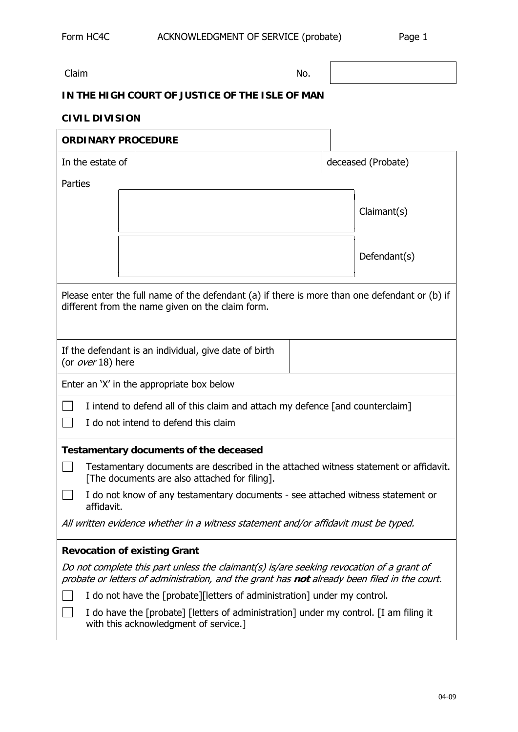Claim No.

## **IN THE HIGH COURT OF JUSTICE OF THE ISLE OF MAN**

## **CIVIL DIVISION**

| <b>ORDINARY PROCEDURE</b>                                                                                                                                                                |  |                    |  |
|------------------------------------------------------------------------------------------------------------------------------------------------------------------------------------------|--|--------------------|--|
| In the estate of                                                                                                                                                                         |  | deceased (Probate) |  |
| Parties                                                                                                                                                                                  |  |                    |  |
|                                                                                                                                                                                          |  | Claimant(s)        |  |
|                                                                                                                                                                                          |  |                    |  |
|                                                                                                                                                                                          |  |                    |  |
|                                                                                                                                                                                          |  | Defendant(s)       |  |
| Please enter the full name of the defendant (a) if there is more than one defendant or (b) if<br>different from the name given on the claim form.                                        |  |                    |  |
| If the defendant is an individual, give date of birth<br>(or over 18) here                                                                                                               |  |                    |  |
| Enter an 'X' in the appropriate box below                                                                                                                                                |  |                    |  |
| I intend to defend all of this claim and attach my defence [and counterclaim]<br>I do not intend to defend this claim                                                                    |  |                    |  |
| <b>Testamentary documents of the deceased</b>                                                                                                                                            |  |                    |  |
| Testamentary documents are described in the attached witness statement or affidavit.<br>[The documents are also attached for filing].                                                    |  |                    |  |
| I do not know of any testamentary documents - see attached witness statement or<br>affidavit.                                                                                            |  |                    |  |
| All written evidence whether in a witness statement and/or affidavit must be typed.                                                                                                      |  |                    |  |
| <b>Revocation of existing Grant</b>                                                                                                                                                      |  |                    |  |
| Do not complete this part unless the claimant(s) is/are seeking revocation of a grant of<br>probate or letters of administration, and the grant has not already been filed in the court. |  |                    |  |
| I do not have the [probate][letters of administration] under my control.                                                                                                                 |  |                    |  |
| I do have the [probate] [letters of administration] under my control. [I am filing it<br>with this acknowledgment of service.]                                                           |  |                    |  |